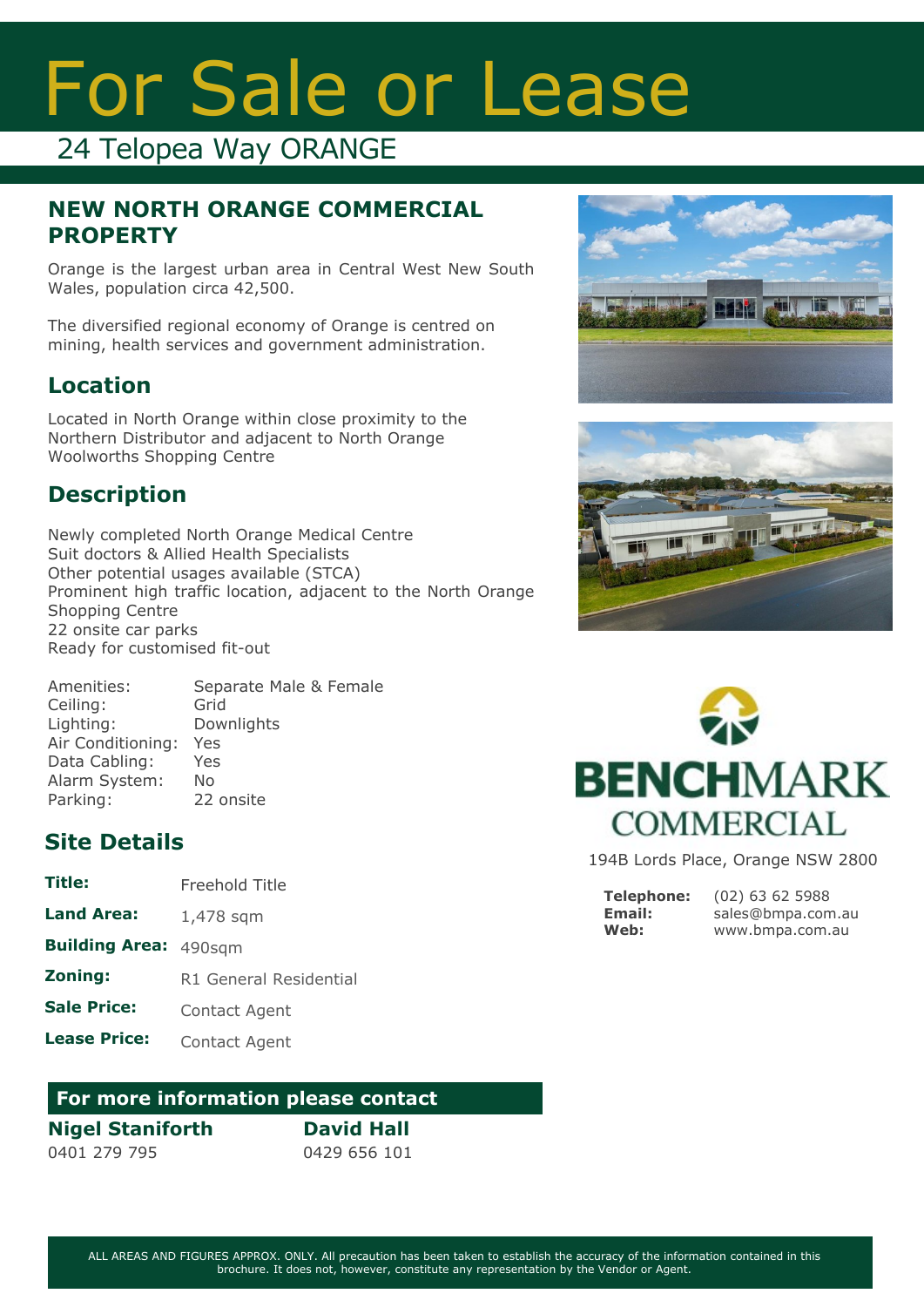# For Sale or Lease

## 24 Telopea Way ORANGE

#### **NEW NORTH ORANGE COMMERCIAL PROPERTY**

Orange is the largest urban area in Central West New South Wales, population circa 42,500.

The diversified regional economy of Orange is centred on mining, health services and government administration.

### **Location**

Located in North Orange within close proximity to the Northern Distributor and adjacent to North Orange Woolworths Shopping Centre

## **Description**

Newly completed North Orange Medical Centre Suit doctors & Allied Health Specialists Other potential usages available (STCA) Prominent high traffic location, adjacent to the North Orange Shopping Centre 22 onsite car parks Ready for customised fit-out

| Separate Male & Female |
|------------------------|
|                        |
|                        |
|                        |
|                        |
|                        |
|                        |
|                        |

### **Site Details**

- **Title:** Freehold Title
- **Land Area:** 1,478 sqm
- **Building Area:** 490sqm
- **Zoning:** R1 General Residential
- **Sale Price:** Contact Agent
- **Lease Price:** Contact Agent

#### **For more information please contact**

#### **Nigel Staniforth**

0401 279 795

**David Hall** 0429 656 101







194B Lords Place, Orange NSW 2800

**Telephone: Email: Web:**

(02) 63 62 5988 sales@bmpa.com.au www.bmpa.com.au